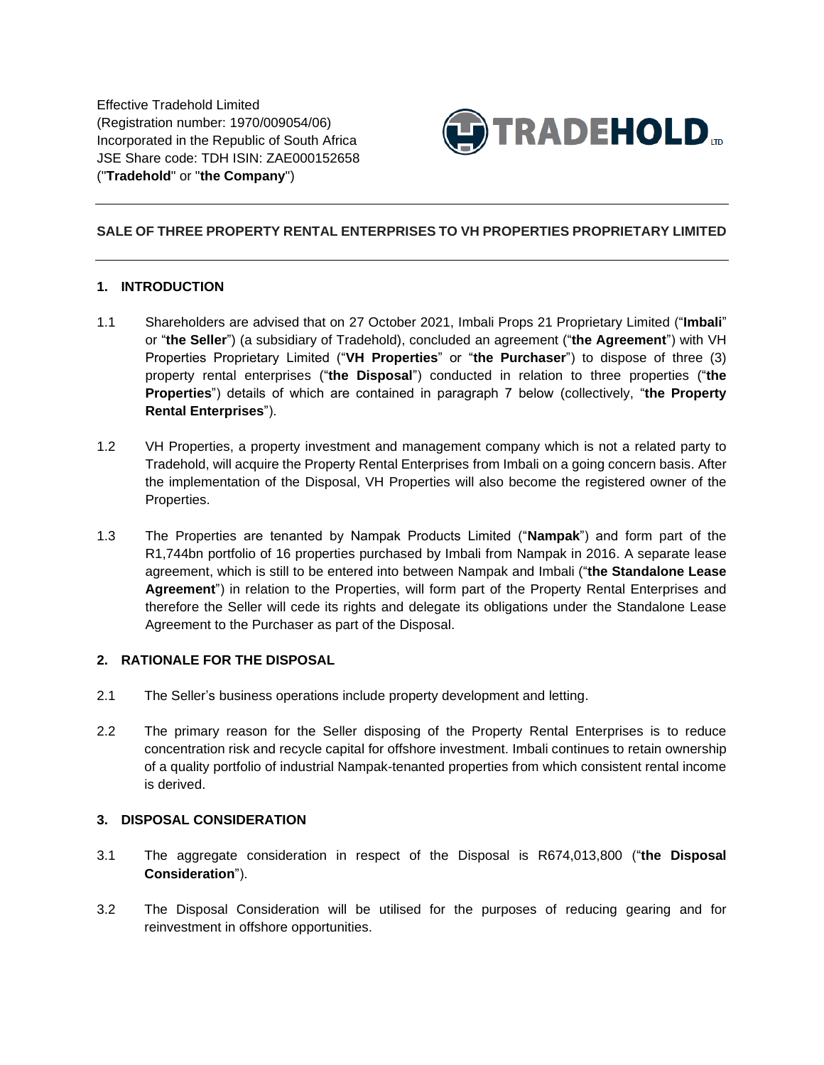

### **SALE OF THREE PROPERTY RENTAL ENTERPRISES TO VH PROPERTIES PROPRIETARY LIMITED**

#### **1. INTRODUCTION**

- 1.1 Shareholders are advised that on 27 October 2021, Imbali Props 21 Proprietary Limited ("**Imbali**" or "**the Seller**") (a subsidiary of Tradehold), concluded an agreement ("**the Agreement**") with VH Properties Proprietary Limited ("**VH Properties**" or "**the Purchaser**") to dispose of three (3) property rental enterprises ("**the Disposal**") conducted in relation to three properties ("**the Properties**") details of which are contained in paragraph 7 below (collectively, "**the Property Rental Enterprises**").
- 1.2 VH Properties, a property investment and management company which is not a related party to Tradehold, will acquire the Property Rental Enterprises from Imbali on a going concern basis. After the implementation of the Disposal, VH Properties will also become the registered owner of the Properties.
- 1.3 The Properties are tenanted by Nampak Products Limited ("**Nampak**") and form part of the R1,744bn portfolio of 16 properties purchased by Imbali from Nampak in 2016. A separate lease agreement, which is still to be entered into between Nampak and Imbali ("**the Standalone Lease Agreement**") in relation to the Properties, will form part of the Property Rental Enterprises and therefore the Seller will cede its rights and delegate its obligations under the Standalone Lease Agreement to the Purchaser as part of the Disposal.

#### **2. RATIONALE FOR THE DISPOSAL**

- 2.1 The Seller's business operations include property development and letting.
- 2.2 The primary reason for the Seller disposing of the Property Rental Enterprises is to reduce concentration risk and recycle capital for offshore investment. Imbali continues to retain ownership of a quality portfolio of industrial Nampak-tenanted properties from which consistent rental income is derived.

#### **3. DISPOSAL CONSIDERATION**

- 3.1 The aggregate consideration in respect of the Disposal is R674,013,800 ("**the Disposal Consideration**").
- 3.2 The Disposal Consideration will be utilised for the purposes of reducing gearing and for reinvestment in offshore opportunities.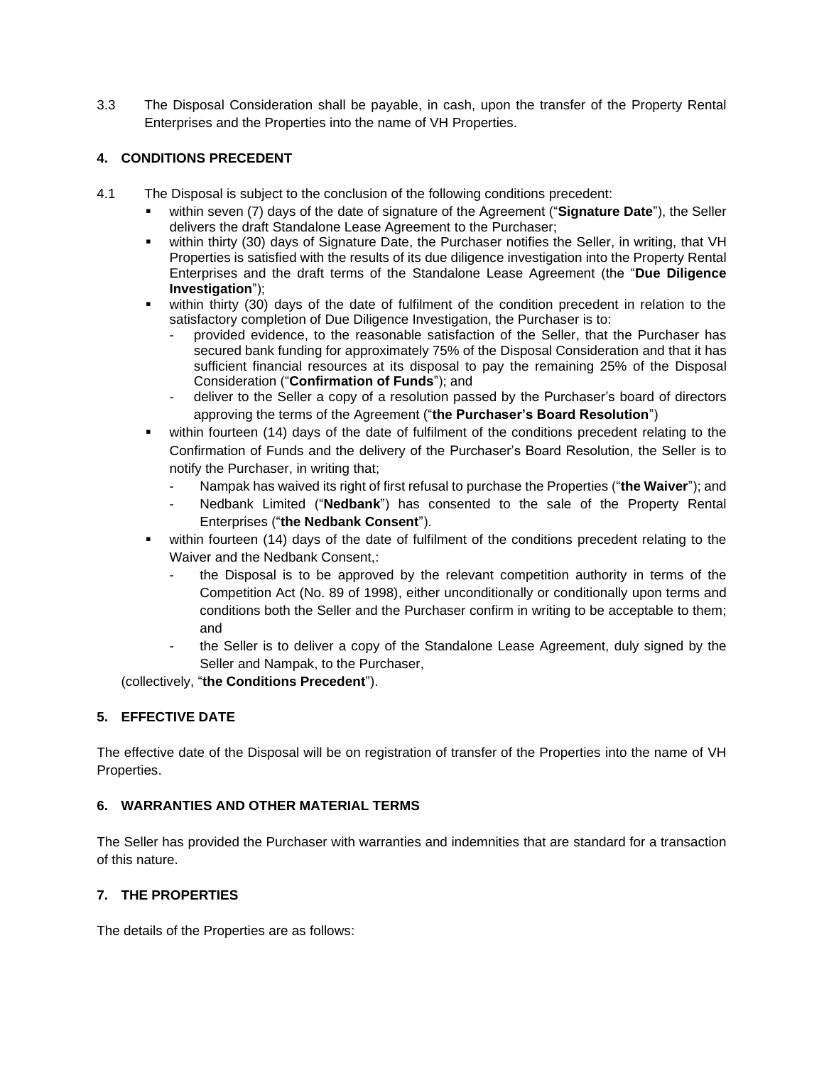3.3 The Disposal Consideration shall be payable, in cash, upon the transfer of the Property Rental Enterprises and the Properties into the name of VH Properties.

# **4. CONDITIONS PRECEDENT**

- 4.1 The Disposal is subject to the conclusion of the following conditions precedent:
	- within seven (7) days of the date of signature of the Agreement ("Signature Date"), the Seller delivers the draft Standalone Lease Agreement to the Purchaser;
	- within thirty (30) days of Signature Date, the Purchaser notifies the Seller, in writing, that VH Properties is satisfied with the results of its due diligence investigation into the Property Rental Enterprises and the draft terms of the Standalone Lease Agreement (the "**Due Diligence Investigation**");
	- within thirty (30) days of the date of fulfilment of the condition precedent in relation to the satisfactory completion of Due Diligence Investigation, the Purchaser is to:
		- provided evidence, to the reasonable satisfaction of the Seller, that the Purchaser has secured bank funding for approximately 75% of the Disposal Consideration and that it has sufficient financial resources at its disposal to pay the remaining 25% of the Disposal Consideration ("**Confirmation of Funds**"); and
		- deliver to the Seller a copy of a resolution passed by the Purchaser's board of directors approving the terms of the Agreement ("**the Purchaser's Board Resolution**")
	- within fourteen (14) days of the date of fulfilment of the conditions precedent relating to the Confirmation of Funds and the delivery of the Purchaser's Board Resolution, the Seller is to notify the Purchaser, in writing that;
		- Nampak has waived its right of first refusal to purchase the Properties ("**the Waiver**"); and
		- Nedbank Limited ("**Nedbank**") has consented to the sale of the Property Rental Enterprises ("**the Nedbank Consent**").
	- within fourteen (14) days of the date of fulfilment of the conditions precedent relating to the Waiver and the Nedbank Consent,:
		- the Disposal is to be approved by the relevant competition authority in terms of the Competition Act (No. 89 of 1998), either unconditionally or conditionally upon terms and conditions both the Seller and the Purchaser confirm in writing to be acceptable to them; and
		- the Seller is to deliver a copy of the Standalone Lease Agreement, duly signed by the Seller and Nampak, to the Purchaser,

(collectively, "**the Conditions Precedent**").

# **5. EFFECTIVE DATE**

The effective date of the Disposal will be on registration of transfer of the Properties into the name of VH Properties.

### **6. WARRANTIES AND OTHER MATERIAL TERMS**

The Seller has provided the Purchaser with warranties and indemnities that are standard for a transaction of this nature.

### **7. THE PROPERTIES**

The details of the Properties are as follows: